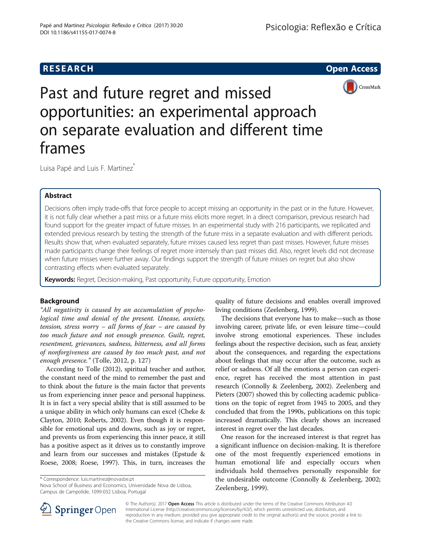# **RESEARCH CHE Open Access**



Past and future regret and missed opportunities: an experimental approach on separate evaluation and different time frames

Luisa Papé and Luis F. Martinez<sup>\*</sup>

## Abstract

Decisions often imply trade-offs that force people to accept missing an opportunity in the past or in the future. However, it is not fully clear whether a past miss or a future miss elicits more regret. In a direct comparison, previous research had found support for the greater impact of future misses. In an experimental study with 216 participants, we replicated and extended previous research by testing the strength of the future miss in a separate evaluation and with different periods. Results show that, when evaluated separately, future misses caused less regret than past misses. However, future misses made participants change their feelings of regret more intensely than past misses did. Also, regret levels did not decrease when future misses were further away. Our findings support the strength of future misses on regret but also show contrasting effects when evaluated separately.

Keywords: Regret, Decision-making, Past opportunity, Future opportunity, Emotion

## Background

"All negativity is caused by an accumulation of psychological time and denial of the present. Unease, anxiety, tension, stress worry  $-$  all forms of fear  $-$  are caused by too much future and not enough presence. Guilt, regret, resentment, grievances, sadness, bitterness, and all forms of nonforgiveness are caused by too much past, and not enough presence." (Tolle, [2012](#page-8-0), p. 127)

According to Tolle [\(2012\)](#page-8-0), spiritual teacher and author, the constant need of the mind to remember the past and to think about the future is the main factor that prevents us from experiencing inner peace and personal happiness. It is in fact a very special ability that is still assumed to be a unique ability in which only humans can excel (Cheke & Clayton, [2010](#page-7-0); Roberts, [2002](#page-8-0)). Even though it is responsible for emotional ups and downs, such as joy or regret, and prevents us from experiencing this inner peace, it still has a positive aspect as it drives us to constantly improve and learn from our successes and mistakes (Epstude & Roese, [2008](#page-8-0); Roese, [1997\)](#page-8-0). This, in turn, increases the

\* Correspondence: [luis.martinez@novasbe.pt](mailto:luis.martinez@novasbe.pt)

Nova School of Business and Economics, Universidade Nova de Lisboa, Campus de Campolide, 1099-032 Lisboa, Portugal

quality of future decisions and enables overall improved living conditions (Zeelenberg, [1999](#page-8-0)).

The decisions that everyone has to make—such as those involving career, private life, or even leisure time—could involve strong emotional experiences. These includes feelings about the respective decision, such as fear, anxiety about the consequences, and regarding the expectations about feelings that may occur after the outcome, such as relief or sadness. Of all the emotions a person can experience, regret has received the most attention in past research (Connolly & Zeelenberg, [2002](#page-7-0)). Zeelenberg and Pieters [\(2007\)](#page-8-0) showed this by collecting academic publications on the topic of regret from 1945 to 2005, and they concluded that from the 1990s, publications on this topic increased dramatically. This clearly shows an increased interest in regret over the last decades.

One reason for the increased interest is that regret has a significant influence on decision-making. It is therefore one of the most frequently experienced emotions in human emotional life and especially occurs when individuals hold themselves personally responsible for the undesirable outcome (Connolly & Zeelenberg, [2002](#page-7-0); Zeelenberg, [1999\)](#page-8-0).



© The Author(s). 2017 Open Access This article is distributed under the terms of the Creative Commons Attribution 4.0 International License ([http://creativecommons.org/licenses/by/4.0/\)](http://creativecommons.org/licenses/by/4.0/), which permits unrestricted use, distribution, and reproduction in any medium, provided you give appropriate credit to the original author(s) and the source, provide a link to the Creative Commons license, and indicate if changes were made.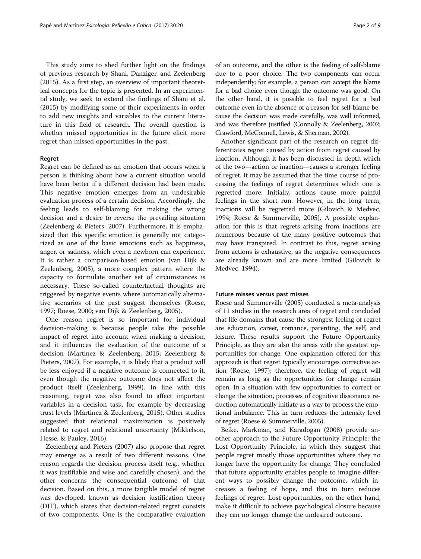This study aims to shed further light on the findings of previous research by Shani, Danziger, and Zeelenberg ([2015](#page-8-0)). As a first step, an overview of important theoretical concepts for the topic is presented. In an experimental study, we seek to extend the findings of Shani et al. ([2015](#page-8-0)) by modifying some of their experiments in order to add new insights and variables to the current literature in this field of research. The overall question is whether missed opportunities in the future elicit more regret than missed opportunities in the past.

### Regret

Regret can be defined as an emotion that occurs when a person is thinking about how a current situation would have been better if a different decision had been made. This negative emotion emerges from an undesirable evaluation process of a certain decision. Accordingly, the feeling leads to self-blaming for making the wrong decision and a desire to reverse the prevailing situation (Zeelenberg & Pieters, [2007\)](#page-8-0). Furthermore, it is emphasized that this specific emotion is generally not categorized as one of the basic emotions such as happiness, anger, or sadness, which even a newborn can experience. It is rather a comparison-based emotion (van Dijk & Zeelenberg, [2005\)](#page-8-0), a more complex pattern where the capacity to formulate another set of circumstances is necessary. These so-called counterfactual thoughts are triggered by negative events where automatically alternative scenarios of the past suggest themselves (Roese, [1997](#page-8-0); Roese, [2000;](#page-8-0) van Dijk & Zeelenberg, [2005](#page-8-0)).

One reason regret is so important for individual decision-making is because people take the possible impact of regret into account when making a decision, and it influences the evaluation of the outcome of a decision (Martinez & Zeelenberg, [2015;](#page-8-0) Zeelenberg & Pieters, [2007](#page-8-0)). For example, it is likely that a product will be less enjoyed if a negative outcome is connected to it, even though the negative outcome does not affect the product itself (Zeelenberg, [1999](#page-8-0)). In line with this reasoning, regret was also found to affect important variables in a decision task, for example by decreasing trust levels (Martinez & Zeelenberg, [2015](#page-8-0)). Other studies suggested that relational maximization is positively related to regret and relational uncertainty (Mikkelson, Hesse, & Pauley, [2016](#page-8-0)).

Zeelenberg and Pieters ([2007](#page-8-0)) also propose that regret may emerge as a result of two different reasons. One reason regards the decision process itself (e.g., whether it was justifiable and wise and carefully chosen), and the other concerns the consequential outcome of that decision. Based on this, a more tangible model of regret was developed, known as decision justification theory (DJT), which states that decision-related regret consists of two components. One is the comparative evaluation of an outcome, and the other is the feeling of self-blame due to a poor choice. The two components can occur independently; for example, a person can accept the blame for a bad choice even though the outcome was good. On the other hand, it is possible to feel regret for a bad outcome even in the absence of a reason for self-blame because the decision was made carefully, was well informed, and was therefore justified (Connolly & Zeelenberg, [2002](#page-7-0); Crawford, McConnell, Lewis, & Sherman, [2002\)](#page-8-0).

Another significant part of the research on regret differentiates regret caused by action from regret caused by inaction. Although it has been discussed in depth which of the two—action or inaction—causes a stronger feeling of regret, it may be assumed that the time course of processing the feelings of regret determines which one is regretted more. Initially, actions cause more painful feelings in the short run. However, in the long term, inactions will be regretted more (Gilovich & Medvec, [1994](#page-8-0); Roese & Summerville, [2005](#page-8-0)). A possible explanation for this is that regrets arising from inactions are numerous because of the many positive outcomes that may have transpired. In contrast to this, regret arising from actions is exhaustive, as the negative consequences are already known and are more limited (Gilovich & Medvec, [1994\)](#page-8-0).

#### Future misses versus past misses

Roese and Summerville [\(2005\)](#page-8-0) conducted a meta-analysis of 11 studies in the research area of regret and concluded that life domains that cause the strongest feeling of regret are education, career, romance, parenting, the self, and leisure. These results support the Future Opportunity Principle, as they are also the areas with the greatest opportunities for change. One explanation offered for this approach is that regret typically encourages corrective action (Roese, [1997\)](#page-8-0); therefore, the feeling of regret will remain as long as the opportunities for change remain open. In a situation with few opportunities to correct or change the situation, processes of cognitive dissonance reduction automatically initiate as a way to process the emotional imbalance. This in turn reduces the intensity level of regret (Roese & Summerville, [2005\)](#page-8-0).

Beike, Markman, and Karadogan ([2008](#page-7-0)) provide another approach to the Future Opportunity Principle: the Lost Opportunity Principle, in which they suggest that people regret mostly those opportunities where they no longer have the opportunity for change. They concluded that future opportunity enables people to imagine different ways to possibly change the outcome, which increases a feeling of hope, and this in turn reduces feelings of regret. Lost opportunities, on the other hand, make it difficult to achieve psychological closure because they can no longer change the undesired outcome.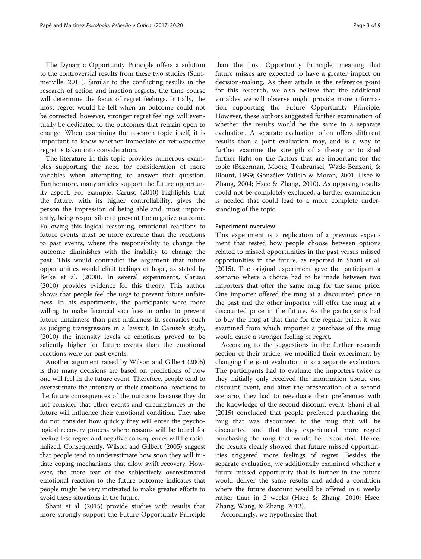The Dynamic Opportunity Principle offers a solution to the controversial results from these two studies (Summerville, [2011\)](#page-8-0). Similar to the conflicting results in the research of action and inaction regrets, the time course will determine the focus of regret feelings. Initially, the most regret would be felt when an outcome could not be corrected; however, stronger regret feelings will eventually be dedicated to the outcomes that remain open to change. When examining the research topic itself, it is important to know whether immediate or retrospective regret is taken into consideration.

The literature in this topic provides numerous examples supporting the need for consideration of more variables when attempting to answer that question. Furthermore, many articles support the future opportunity aspect. For example, Caruso ([2010](#page-7-0)) highlights that the future, with its higher controllability, gives the person the impression of being able and, most importantly, being responsible to prevent the negative outcome. Following this logical reasoning, emotional reactions to future events must be more extreme than the reactions to past events, where the responsibility to change the outcome diminishes with the inability to change the past. This would contradict the argument that future opportunities would elicit feelings of hope, as stated by Beike et al. ([2008](#page-7-0)). In several experiments, Caruso ([2010](#page-7-0)) provides evidence for this theory. This author shows that people feel the urge to prevent future unfairness. In his experiments, the participants were more willing to make financial sacrifices in order to prevent future unfairness than past unfairness in scenarios such as judging transgressors in a lawsuit. In Caruso's study, ([2010](#page-7-0)) the intensity levels of emotions proved to be saliently higher for future events than the emotional reactions were for past events.

Another argument raised by Wilson and Gilbert [\(2005](#page-8-0)) is that many decisions are based on predictions of how one will feel in the future event. Therefore, people tend to overestimate the intensity of their emotional reactions to the future consequences of the outcome because they do not consider that other events and circumstances in the future will influence their emotional condition. They also do not consider how quickly they will enter the psychological recovery process where reasons will be found for feeling less regret and negative consequences will be rationalized. Consequently, Wilson and Gilbert ([2005\)](#page-8-0) suggest that people tend to underestimate how soon they will initiate coping mechanisms that allow swift recovery. However, the mere fear of the subjectively overestimated emotional reaction to the future outcome indicates that people might be very motivated to make greater efforts to avoid these situations in the future.

Shani et al. ([2015](#page-8-0)) provide studies with results that more strongly support the Future Opportunity Principle

than the Lost Opportunity Principle, meaning that future misses are expected to have a greater impact on decision-making. As their article is the reference point for this research, we also believe that the additional variables we will observe might provide more information supporting the Future Opportunity Principle. However, these authors suggested further examination of whether the results would be the same in a separate evaluation. A separate evaluation often offers different results than a joint evaluation may, and is a way to further examine the strength of a theory or to shed further light on the factors that are important for the topic (Bazerman, Moore, Tenbrunsel, Wade-Benzoni, & Blount, [1999;](#page-7-0) González-Vallejo & Moran, [2001](#page-8-0); Hsee & Zhang, [2004](#page-8-0); Hsee & Zhang, [2010\)](#page-8-0). As opposing results

## Experiment overview

standing of the topic.

This experiment is a replication of a previous experiment that tested how people choose between options related to missed opportunities in the past versus missed opportunities in the future, as reported in Shani et al. ([2015\)](#page-8-0). The original experiment gave the participant a scenario where a choice had to be made between two importers that offer the same mug for the same price. One importer offered the mug at a discounted price in the past and the other importer will offer the mug at a discounted price in the future. As the participants had to buy the mug at that time for the regular price, it was examined from which importer a purchase of the mug would cause a stronger feeling of regret.

could not be completely excluded, a further examination is needed that could lead to a more complete under-

According to the suggestions in the further research section of their article, we modified their experiment by changing the joint evaluation into a separate evaluation. The participants had to evaluate the importers twice as they initially only received the information about one discount event, and after the presentation of a second scenario, they had to reevaluate their preferences with the knowledge of the second discount event. Shani et al. ([2015\)](#page-8-0) concluded that people preferred purchasing the mug that was discounted to the mug that will be discounted and that they experienced more regret purchasing the mug that would be discounted. Hence, the results clearly showed that future missed opportunities triggered more feelings of regret. Besides the separate evaluation, we additionally examined whether a future missed opportunity that is further in the future would deliver the same results and added a condition where the future discount would be offered in 6 weeks rather than in 2 weeks (Hsee & Zhang, [2010;](#page-8-0) Hsee, Zhang, Wang, & Zhang, [2013\)](#page-8-0).

Accordingly, we hypothesize that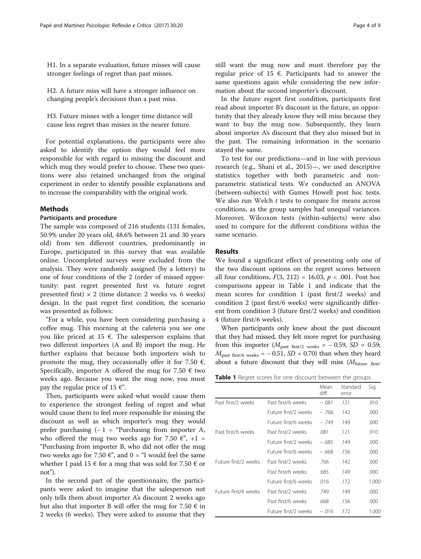H1. In a separate evaluation, future misses will cause stronger feelings of regret than past misses.

H2. A future miss will have a stronger influence on changing people's decisions than a past miss.

H3. Future misses with a longer time distance will cause less regret than misses in the nearer future.

For potential explanations, the participants were also asked to identify the option they would feel more responsible for with regard to missing the discount and which mug they would prefer to choose. These two questions were also retained unchanged from the original experiment in order to identify possible explanations and to increase the comparability with the original work.

## Methods

## Participants and procedure

The sample was composed of 216 students (131 females, 50.9% under 20 years old, 48.6% between 21 and 30 years old) from ten different countries, predominantly in Europe, participated in this survey that was available online. Uncompleted surveys were excluded from the analysis. They were randomly assigned (by a lottery) to one of four conditions of the 2 (order of missed opportunity: past regret presented first vs. future regret presented first)  $\times$  2 (time distance: 2 weeks vs. 6 weeks) design. In the past regret first condition, the scenario was presented as follows:

"For a while, you have been considering purchasing a coffee mug. This morning at the cafeteria you see one you like priced at 15  $\epsilon$ . The salesperson explains that two different importers (A and B) import the mug. He further explains that because both importers wish to promote the mug, they occasionally offer it for 7.50  $\epsilon$ . Specifically, importer A offered the mug for 7.50  $\epsilon$  two weeks ago. Because you want the mug now, you must pay the regular price of 15  $\epsilon$ ".

Then, participants were asked what would cause them to experience the strongest feeling of regret and what would cause them to feel more responsible for missing the discount as well as which importer's mug they would prefer purchasing  $(-1 =$  "Purchasing from importer A, who offered the mug two weeks ago for 7.50  $\epsilon$ ", +1 = "Purchasing from importer B, who did not offer the mug two weeks ago for 7.50  $\epsilon$ ", and 0 = "I would feel the same whether I paid 15  $\epsilon$  for a mug that was sold for 7.50  $\epsilon$  or not").

In the second part of the questionnaire, the participants were asked to imagine that the salesperson not only tells them about importer A's discount 2 weeks ago but also that importer B will offer the mug for 7.50  $\epsilon$  in 2 weeks (6 weeks). They were asked to assume that they still want the mug now and must therefore pay the regular price of 15  $\epsilon$ . Participants had to answer the same questions again while considering the new information about the second importer's discount.

In the future regret first condition, participants first read about importer B's discount in the future, an opportunity that they already know they will miss because they want to buy the mug now. Subsequently, they learn about importer A's discount that they also missed but in the past. The remaining information in the scenario stayed the same.

To test for our predictions—and in line with previous research (e.g., Shani et al., [2015\)](#page-8-0)—, we used descriptive statistics together with both parametric and nonparametric statistical tests. We conducted an ANOVA (between-subjects) with Games Howell post hoc tests. We also run Welch  $t$  tests to compare for means across conditions, as the group samples had unequal variances. Moreover, Wilcoxon tests (within-subjects) were also used to compare for the different conditions within the same scenario.

## Results

We found a significant effect of presenting only one of the two discount options on the regret scores between all four conditions,  $F(3, 212) = 16.03$ ,  $p < .001$ . Post hoc comparisons appear in Table 1 and indicate that the mean scores for condition 1 (past first/2 weeks) and condition 2 (past first/6 weeks) were significantly different from condition 3 (future first/2 weeks) and condition 4 (future first/6 weeks).

When participants only knew about the past discount that they had missed, they felt more regret for purchasing from this importer  $(M_{\text{past first/2 weeks}} = -0.59, SD = 0.59;$  $M_{\text{past first/6 weeks}}$  = -0.51, SD = 0.70) than when they heard about a future discount that they will miss  $(M_{\text{future first}})$ 

|  |  |  | Table 1 Regret scores for one discount between the groups |  |
|--|--|--|-----------------------------------------------------------|--|
|  |  |  |                                                           |  |

|                      |                      | Mean<br>diff. | Standard<br>error | Sig.  |
|----------------------|----------------------|---------------|-------------------|-------|
| Past first/2 weeks   | Past first/6 weeks   | $-.081$       | .121              | .910  |
|                      | Future first/2 weeks | $-.766$       | .142              | .000  |
|                      | Future first/6 weeks | $-.749$       | .149              | .000  |
| Past first/6 weeks   | Past first/2 weeks   | .081          | .121              | .910  |
|                      | Future first/2 weeks | $-.685$       | .149              | .000  |
|                      | Future first/6 weeks | - 668         | .156              | .000  |
| Future first/2 weeks | Past first/2 weeks   | .766          | .142              | .000  |
|                      | Past first/6 weeks   | .685          | .149              | .000  |
|                      | Future first/6 weeks | .016          | .172              | 1.000 |
| Future first/6 weeks | Past first/2 weeks   | .749          | .149              | .000  |
|                      | Past first/6 weeks   | .668          | .156              | .000  |
|                      | Future first/2 weeks | $-.016$       | .172              | 1.000 |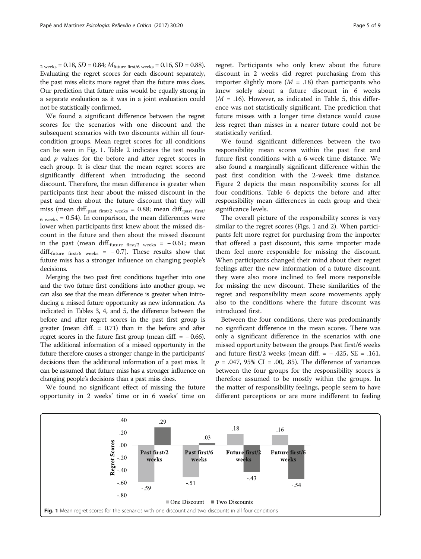<span id="page-4-0"></span> $_{2 \text{ weeks}} = 0.18$ ,  $SD = 0.84$ ;  $M_{\text{future first/6 weeks}} = 0.16$ ,  $SD = 0.88$ ). Evaluating the regret scores for each discount separately, the past miss elicits more regret than the future miss does. Our prediction that future miss would be equally strong in a separate evaluation as it was in a joint evaluation could not be statistically confirmed.

We found a significant difference between the regret scores for the scenarios with one discount and the subsequent scenarios with two discounts within all fourcondition groups. Mean regret scores for all conditions can be seen in Fig. 1. Table [2](#page-5-0) indicates the test results and  $p$  values for the before and after regret scores in each group. It is clear that the mean regret scores are significantly different when introducing the second discount. Therefore, the mean difference is greater when participants first hear about the missed discount in the past and then about the future discount that they will miss (mean diff.<sub>past first/2 weeks</sub> = 0.88; mean diff.<sub>past first/</sub>  $6$  weeks = 0.54). In comparison, the mean differences were lower when participants first knew about the missed discount in the future and then about the missed discount in the past (mean diff. $f_{\text{future first/2 weeks}} = -0.61$ ; mean diff.<sub>future first/6 weeks</sub> =  $-0.7$ ). These results show that future miss has a stronger influence on changing people's decisions.

Merging the two past first conditions together into one and the two future first conditions into another group, we can also see that the mean difference is greater when introducing a missed future opportunity as new information. As indicated in Tables [3, 4](#page-5-0), and [5,](#page-5-0) the difference between the before and after regret scores in the past first group is greater (mean diff. = 0.71) than in the before and after regret scores in the future first group (mean diff.  $= -0.66$ ). The additional information of a missed opportunity in the future therefore causes a stronger change in the participants' decisions than the additional information of a past miss. It can be assumed that future miss has a stronger influence on changing people's decisions than a past miss does.

We found no significant effect of missing the future opportunity in 2 weeks' time or in 6 weeks' time on

regret. Participants who only knew about the future discount in 2 weeks did regret purchasing from this importer slightly more  $(M = .18)$  than participants who knew solely about a future discount in 6 weeks  $(M = .16)$ . However, as indicated in Table [5,](#page-5-0) this difference was not statistically significant. The prediction that future misses with a longer time distance would cause less regret than misses in a nearer future could not be statistically verified.

We found significant differences between the two responsibility mean scores within the past first and future first conditions with a 6-week time distance. We also found a marginally significant difference within the past first condition with the 2-week time distance. Figure [2](#page-6-0) depicts the mean responsibility scores for all four conditions. Table [6](#page-6-0) depicts the before and after responsibility mean differences in each group and their significance levels.

The overall picture of the responsibility scores is very similar to the regret scores (Figs. 1 and [2\)](#page-6-0). When participants felt more regret for purchasing from the importer that offered a past discount, this same importer made them feel more responsible for missing the discount. When participants changed their mind about their regret feelings after the new information of a future discount, they were also more inclined to feel more responsible for missing the new discount. These similarities of the regret and responsibility mean score movements apply also to the conditions where the future discount was introduced first.

Between the four conditions, there was predominantly no significant difference in the mean scores. There was only a significant difference in the scenarios with one missed opportunity between the groups Past first/6 weeks and future first/2 weeks (mean diff. =  $-$ .425, SE = .161,  $p = .047, 95\%$  CI = .00, .85). The difference of variances between the four groups for the responsibility scores is therefore assumed to be mostly within the groups. In the matter of responsibility feelings, people seem to have different perceptions or are more indifferent to feeling

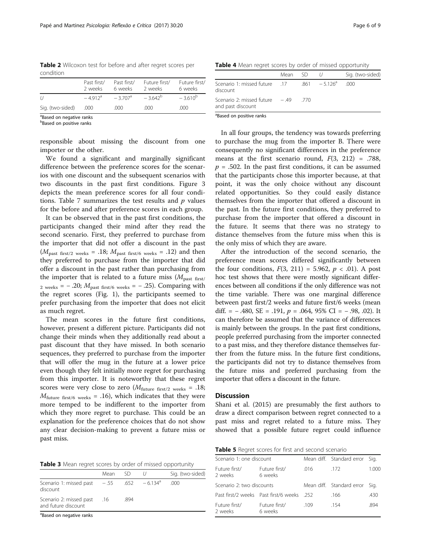<span id="page-5-0"></span>Table 2 Wilcoxon test for before and after regret scores per condition

|                  | Past first/<br>2 weeks | Past first/<br>6 weeks | Future first/<br>2 weeks | Future first/<br>6 weeks |
|------------------|------------------------|------------------------|--------------------------|--------------------------|
| U                | $-4912$ <sup>a</sup>   | $-3707$ <sup>a</sup>   | $-3.642^b$               | $-3.610^{b}$             |
| Sig. (two-sided) | .000                   | .000                   | .000                     | .000                     |

<sup>a</sup>Based on negative ranks

<sup>b</sup>Based on positive ranks

responsible about missing the discount from one importer or the other.

We found a significant and marginally significant difference between the preference scores for the scenarios with one discount and the subsequent scenarios with two discounts in the past first conditions. Figure [3](#page-7-0) depicts the mean preference scores for all four condi-tions. Table [7](#page-7-0) summarizes the test results and  $p$  values for the before and after preference scores in each group.

It can be observed that in the past first conditions, the participants changed their mind after they read the second scenario. First, they preferred to purchase from the importer that did not offer a discount in the past  $(M_{\text{past first/2 weeks}} = .18; M_{\text{past first/6 weeks}} = .12)$  and then they preferred to purchase from the importer that did offer a discount in the past rather than purchasing from the importer that is related to a future miss  $(M_{\text{past first}})$  $_{2 \text{ weeks}} = -0.20$ ;  $M_{\text{past first/6 weeks}} = -0.25$ . Comparing with the regret scores (Fig. [1\)](#page-4-0), the participants seemed to prefer purchasing from the importer that does not elicit as much regret.

The mean scores in the future first conditions, however, present a different picture. Participants did not change their minds when they additionally read about a past discount that they have missed. In both scenario sequences, they preferred to purchase from the importer that will offer the mug in the future at a lower price even though they felt initially more regret for purchasing from this importer. It is noteworthy that these regret scores were very close to zero  $(M_{\text{future first/2 weeks}} = .18;$  $M_{\text{future first/6 weeks}} = .16$ , which indicates that they were more temped to be indifferent to the importer from which they more regret to purchase. This could be an explanation for the preference choices that do not show any clear decision-making to prevent a future miss or past miss.

Table 3 Mean regret scores by order of missed opportunity

|                                                           | Mean SD |      | Sig. (two-sided) |
|-----------------------------------------------------------|---------|------|------------------|
| Scenario 1: missed past $-55$ .652 $-6.134^a$<br>discount |         |      | .000             |
| 16. Scenario 2: missed past<br>and future discount        |         | .894 |                  |
|                                                           |         |      |                  |

<sup>a</sup>Based on negative ranks

Table 4 Mean regret scores by order of missed opportunity

|                                                      | Mean SD |      |                        | Sig. (two-sided) |
|------------------------------------------------------|---------|------|------------------------|------------------|
| Scenario 1: missed future 17<br>discount             |         |      | $.861 - 5.126^{\circ}$ | - 000            |
| Scenario 2: missed future $-49$<br>and past discount |         | -770 |                        |                  |

<sup>a</sup>Based on positive ranks

In all four groups, the tendency was towards preferring to purchase the mug from the importer B. There were consequently no significant differences in the preference means at the first scenario round,  $F(3, 212) = .788$ ,  $p = .502$ . In the past first conditions, it can be assumed that the participants chose this importer because, at that point, it was the only choice without any discount related opportunities. So they could easily distance themselves from the importer that offered a discount in the past. In the future first conditions, they preferred to purchase from the importer that offered a discount in the future. It seems that there was no strategy to distance themselves from the future miss when this is the only miss of which they are aware.

After the introduction of the second scenario, the preference mean scores differed significantly between the four conditions,  $F(3, 211) = 5.962$ ,  $p < .01$ ). A post hoc test shows that there were mostly significant differences between all conditions if the only difference was not the time variable. There was one marginal difference between past first/2 weeks and future first/6 weeks (mean diff. =  $-$ .480, SE = .191,  $p = .064$ , 95% CI =  $-$ .98, .02). It can therefore be assumed that the variance of differences is mainly between the groups. In the past first conditions, people preferred purchasing from the importer connected to a past miss, and they therefore distance themselves further from the future miss. In the future first conditions, the participants did not try to distance themselves from the future miss and preferred purchasing from the importer that offers a discount in the future.

## **Discussion**

Shani et al. ([2015\)](#page-8-0) are presumably the first authors to draw a direct comparison between regret connected to a past miss and regret related to a future miss. They showed that a possible future regret could influence

| Scenario 1: one discount  |                                            |      | Mean diff. Standard error Sig. |       |
|---------------------------|--------------------------------------------|------|--------------------------------|-------|
| Future first/<br>2 weeks  | Future first/<br>6 weeks                   | .016 | .172                           | 1.000 |
| Scenario 2: two discounts |                                            |      | Mean diff. Standard error      | Sig.  |
|                           | 252. Past first/2 weeks Past first/6 weeks |      | .166                           | .430  |
| Future first/<br>2 weeks  | Future first/<br>6 weeks                   | .109 | .154                           | .894  |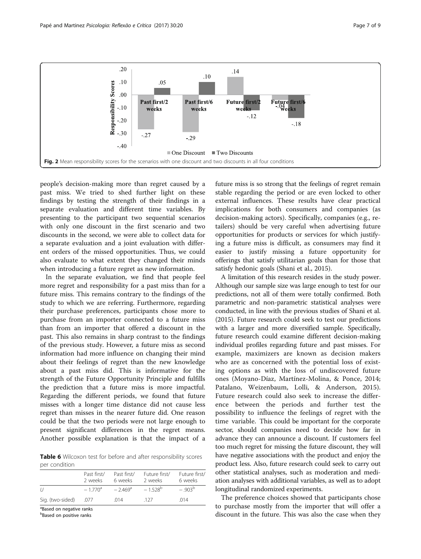<span id="page-6-0"></span>

people's decision-making more than regret caused by a past miss. We tried to shed further light on these findings by testing the strength of their findings in a separate evaluation and different time variables. By presenting to the participant two sequential scenarios with only one discount in the first scenario and two discounts in the second, we were able to collect data for a separate evaluation and a joint evaluation with different orders of the missed opportunities. Thus, we could also evaluate to what extent they changed their minds when introducing a future regret as new information.

In the separate evaluation, we find that people feel more regret and responsibility for a past miss than for a future miss. This remains contrary to the findings of the study to which we are referring. Furthermore, regarding their purchase preferences, participants chose more to purchase from an importer connected to a future miss than from an importer that offered a discount in the past. This also remains in sharp contrast to the findings of the previous study. However, a future miss as second information had more influence on changing their mind about their feelings of regret than the new knowledge about a past miss did. This is informative for the strength of the Future Opportunity Principle and fulfills the prediction that a future miss is more impactful. Regarding the different periods, we found that future misses with a longer time distance did not cause less regret than misses in the nearer future did. One reason could be that the two periods were not large enough to present significant differences in the regret means. Another possible explanation is that the impact of a

Table 6 Wilcoxon test for before and after responsibility scores per condition

|                  | Past first/<br>2 weeks | Past first/<br>6 weeks | Future first/<br>2 weeks | Future first/<br>6 weeks |  |  |
|------------------|------------------------|------------------------|--------------------------|--------------------------|--|--|
| U                | $-1.770$ <sup>a</sup>  | $-2469$ <sup>a</sup>   | $-1528$ <sup>b</sup>     | $-.903b$                 |  |  |
| Sig. (two-sided) | .077                   | .014                   | 127                      | .014                     |  |  |

<sup>a</sup>Based on negative ranks

**b**Based on positive ranks

future miss is so strong that the feelings of regret remain stable regarding the period or are even locked to other external influences. These results have clear practical implications for both consumers and companies (as decision-making actors). Specifically, companies (e.g., retailers) should be very careful when advertising future opportunities for products or services for which justifying a future miss is difficult, as consumers may find it easier to justify missing a future opportunity for offerings that satisfy utilitarian goals than for those that satisfy hedonic goals (Shani et al., [2015\)](#page-8-0).

A limitation of this research resides in the study power. Although our sample size was large enough to test for our predictions, not all of them were totally confirmed. Both parametric and non-parametric statistical analyses were conducted, in line with the previous studies of Shani et al. ([2015](#page-8-0)). Future research could seek to test our predictions with a larger and more diversified sample. Specifically, future research could examine different decision-making individual profiles regarding future and past misses. For example, maximizers are known as decision makers who are as concerned with the potential loss of existing options as with the loss of undiscovered future ones (Moyano-Díaz, Martínez-Molina, & Ponce, [2014](#page-8-0); Patalano, Weizenbaum, Lolli, & Anderson, [2015](#page-8-0)). Future research could also seek to increase the difference between the periods and further test the possibility to influence the feelings of regret with the time variable. This could be important for the corporate sector, should companies need to decide how far in advance they can announce a discount. If customers feel too much regret for missing the future discount, they will have negative associations with the product and enjoy the product less. Also, future research could seek to carry out other statistical analyses, such as moderation and mediation analyses with additional variables, as well as to adopt longitudinal randomized experiments.

The preference choices showed that participants chose to purchase mostly from the importer that will offer a discount in the future. This was also the case when they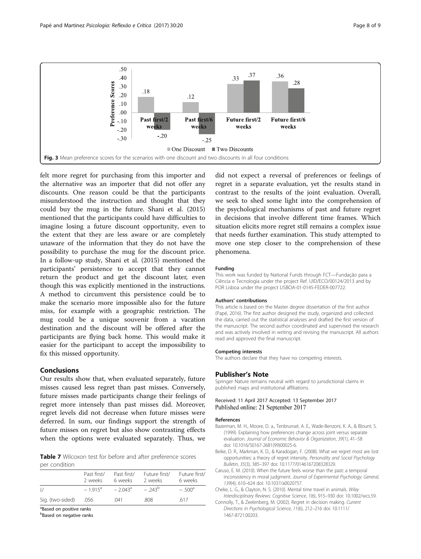<span id="page-7-0"></span>

felt more regret for purchasing from this importer and the alternative was an importer that did not offer any discounts. One reason could be that the participants misunderstood the instruction and thought that they could buy the mug in the future. Shani et al. ([2015](#page-8-0)) mentioned that the participants could have difficulties to imagine losing a future discount opportunity, even to the extent that they are less aware or are completely unaware of the information that they do not have the possibility to purchase the mug for the discount price. In a follow-up study, Shani et al. [\(2015\)](#page-8-0) mentioned the participants' persistence to accept that they cannot return the product and get the discount later, even though this was explicitly mentioned in the instructions. A method to circumvent this persistence could be to make the scenario more impossible also for the future miss, for example with a geographic restriction. The mug could be a unique souvenir from a vacation destination and the discount will be offered after the participants are flying back home. This would make it easier for the participant to accept the impossibility to fix this missed opportunity.

## Conclusions

Our results show that, when evaluated separately, future misses caused less regret than past misses. Conversely, future misses made participants change their feelings of regret more intensely than past misses did. Moreover, regret levels did not decrease when future misses were deferred. In sum, our findings support the strength of future misses on regret but also show contrasting effects when the options were evaluated separately. Thus, we

Table 7 Wilcoxon test for before and after preference scores per condition

|                  | Past first/<br>2 weeks | Past first/<br>6 weeks | Future first/<br>2 weeks | Future first/<br>6 weeks |
|------------------|------------------------|------------------------|--------------------------|--------------------------|
| $\iota$          | $-1.915$ <sup>a</sup>  | $-2.043$ <sup>a</sup>  | $-243^b$                 | $-.500a$                 |
| Sig. (two-sided) | .056                   | .041                   | .808                     | 617                      |

<sup>a</sup>Based on positive ranks

**b**Based on negative ranks

did not expect a reversal of preferences or feelings of regret in a separate evaluation, yet the results stand in contrast to the results of the joint evaluation. Overall, we seek to shed some light into the comprehension of the psychological mechanisms of past and future regret in decisions that involve different time frames. Which situation elicits more regret still remains a complex issue that needs further examination. This study attempted to move one step closer to the comprehension of these phenomena.

#### Funding

This work was funded by National Funds through FCT—Fundação para a Ciência e Tecnologia under the project Ref. UID/ECO/00124/2013 and by POR Lisboa under the project LISBOA-01-0145-FEDER-007722.

#### Authors' contributions

This article is based on the Master degree dissertation of the first author (Papé, [2016](#page-8-0)). The first author designed the study, organized and collected the data, carried out the statistical analyses and drafted the first version of the manuscript. The second author coordinated and supervised the research and was actively involved in writing and revising the manuscript. All authors read and approved the final manuscript.

#### Competing interests

The authors declare that they have no competing interests.

#### Publisher's Note

Springer Nature remains neutral with regard to jurisdictional claims in published maps and institutional affiliations.

### Received: 11 April 2017 Accepted: 13 September 2017 Published online: 21 September 2017

#### References

- Bazerman, M. H., Moore, D. a., Tenbrunsel, A. E., Wade-Benzoni, K. A., & Blount, S. (1999). Explaining how preferences change across joint versus separate evaluation. Journal of Economic Behavior & Organization, 39(1), 41–58 doi: [10.1016/S0167-2681\(99\)00025-6.](http://dx.doi.org/10.1016/S0167-2681(99)00025-6)
- Beike, D. R., Markman, K. D., & Karadogan, F. (2008). What we regret most are lost opportunities: a theory of regret intensity. Personality and Social Psychology Bulletin, 35(3), 385–397 doi: [10.1177/0146167208328329](http://dx.doi.org/10.1177/0146167208328329).
- Caruso, E. M. (2010). When the future feels worse than the past: a temporal inconsistency in moral judgment. Journal of Experimental Psychology: General, 139(4), 610–624 doi: [10.1037/a0020757.](http://dx.doi.org/10.1037/a0020757)
- Cheke, L. G., & Clayton, N. S. (2010). Mental time travel in animals. Wiley Interdisciplinary Reviews: Cognitive Science, 1(6), 915–930 doi: [10.1002/wcs.59.](http://dx.doi.org/10.1002/wcs.59)
- Connolly, T., & Zeelenberg, M. (2002). Regret in decision making. Current Directions in Psychological Science, 11(6), 212–216 doi: [10.1111/](http://dx.doi.org/10.1111/1467-8721.00203) [1467-8721.00203](http://dx.doi.org/10.1111/1467-8721.00203).